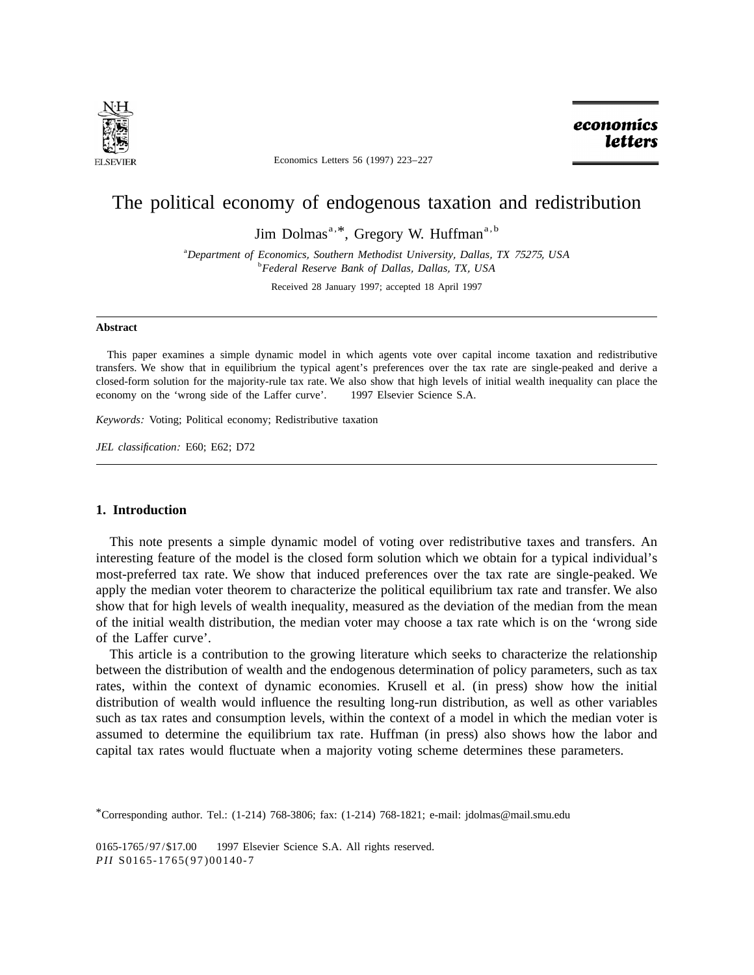

Economics Letters 56 (1997) 223–227

economics **letters** 

# The political economy of endogenous taxation and redistribution

Jim Dolmas<sup>a, \*</sup>, Gregory W. Huffman<sup>a, b</sup>

a *Department of Economics*, *Southern Methodist University*, *Dallas*, *TX* 75275, *USA* <sup>b</sup> *Federal Reserve Bank of Dallas*, *Dallas*, *TX*, *USA*

Received 28 January 1997; accepted 18 April 1997

### **Abstract**

This paper examines a simple dynamic model in which agents vote over capital income taxation and redistributive transfers. We show that in equilibrium the typical agent's preferences over the tax rate are single-peaked and derive a closed-form solution for the majority-rule tax rate. We also show that high levels of initial wealth inequality can place the economy on the 'wrong side of the Laffer curve'. © 1997 Elsevier Science S.A.

*Keywords*: Voting; Political economy; Redistributive taxation

*JEL classification*: E60; E62; D72

## **1. Introduction**

This note presents a simple dynamic model of voting over redistributive taxes and transfers. An interesting feature of the model is the closed form solution which we obtain for a typical individual's most-preferred tax rate. We show that induced preferences over the tax rate are single-peaked. We apply the median voter theorem to characterize the political equilibrium tax rate and transfer. We also show that for high levels of wealth inequality, measured as the deviation of the median from the mean of the initial wealth distribution, the median voter may choose a tax rate which is on the 'wrong side of the Laffer curve'.

This article is a contribution to the growing literature which seeks to characterize the relationship between the distribution of wealth and the endogenous determination of policy parameters, such as tax rates, within the context of dynamic economies. Krusell et al. (in press) show how the initial distribution of wealth would influence the resulting long-run distribution, as well as other variables such as tax rates and consumption levels, within the context of a model in which the median voter is assumed to determine the equilibrium tax rate. Huffman (in press) also shows how the labor and capital tax rates would fluctuate when a majority voting scheme determines these parameters.

<sup>\*</sup>Corresponding author. Tel.: (1-214) 768-3806; fax: (1-214) 768-1821; e-mail: jdolmas@mail.smu.edu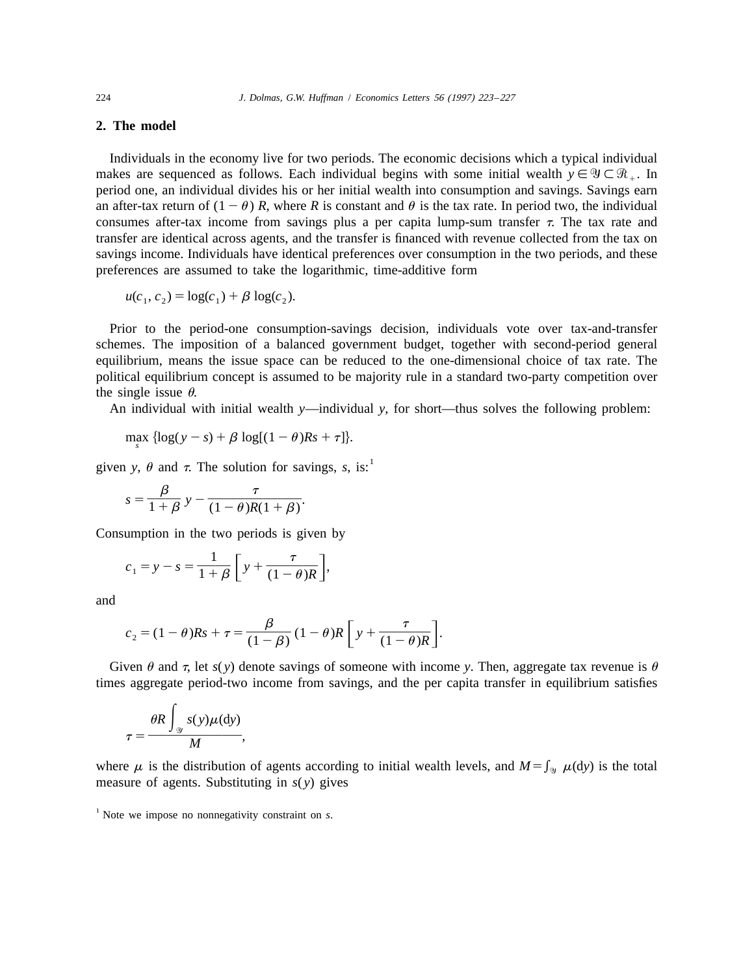# **2. The model**

Individuals in the economy live for two periods. The economic decisions which a typical individual makes are sequenced as follows. Each individual begins with some initial wealth  $y \in \mathcal{Y} \subset \mathcal{R}$ . In period one, an individual divides his or her initial wealth into consumption and savings. Savings earn an after-tax return of  $(1 - \theta)$  *R*, where *R* is constant and  $\theta$  is the tax rate. In period two, the individual consumes after-tax income from savings plus a per capita lump-sum transfer  $\tau$ . The tax rate and transfer are identical across agents, and the transfer is financed with revenue collected from the tax on savings income. Individuals have identical preferences over consumption in the two periods, and these preferences are assumed to take the logarithmic, time-additive form

 $u(c_1, c_2) = \log(c_1) + \beta \log(c_2)$ .

Prior to the period-one consumption-savings decision, individuals vote over tax-and-transfer schemes. The imposition of a balanced government budget, together with second-period general equilibrium, means the issue space can be reduced to the one-dimensional choice of tax rate. The political equilibrium concept is assumed to be majority rule in a standard two-party competition over the single issue  $\theta$ .

An individual with initial wealth *y*—individual *y*, for short—thus solves the following problem:

$$
\max_{s} {\log(y - s) + \beta \log[(1 - \theta)Rs + \tau]}.
$$

given *y*,  $\theta$  and  $\tau$ . The solution for savings, *s*, is:

$$
s = \frac{\beta}{1+\beta} y - \frac{\tau}{(1-\theta)R(1+\beta)}.
$$

Consumption in the two periods is given by

$$
c_1 = y - s = \frac{1}{1 + \beta} \left[ y + \frac{\tau}{(1 - \theta)R} \right],
$$

and

$$
c_2 = (1 - \theta)Rs + \tau = \frac{\beta}{(1 - \beta)} (1 - \theta)R \left[ y + \frac{\tau}{(1 - \theta)R} \right].
$$

Given  $\theta$  and  $\tau$ , let  $s(y)$  denote savings of someone with income *y*. Then, aggregate tax revenue is  $\theta$ times aggregate period-two income from savings, and the per capita transfer in equilibrium satisfies

$$
\tau = \frac{\theta R \int_{\mathcal{Y}} s(y) \mu(dy)}{M},
$$

where  $\mu$  is the distribution of agents according to initial wealth levels, and  $M = \int_{\mathcal{Y}} \mu(\mathrm{d}y)$  is the total measure of agents. Substituting in *s*( *y*) gives

<sup>1</sup> Note we impose no nonnegativity constraint on *s*.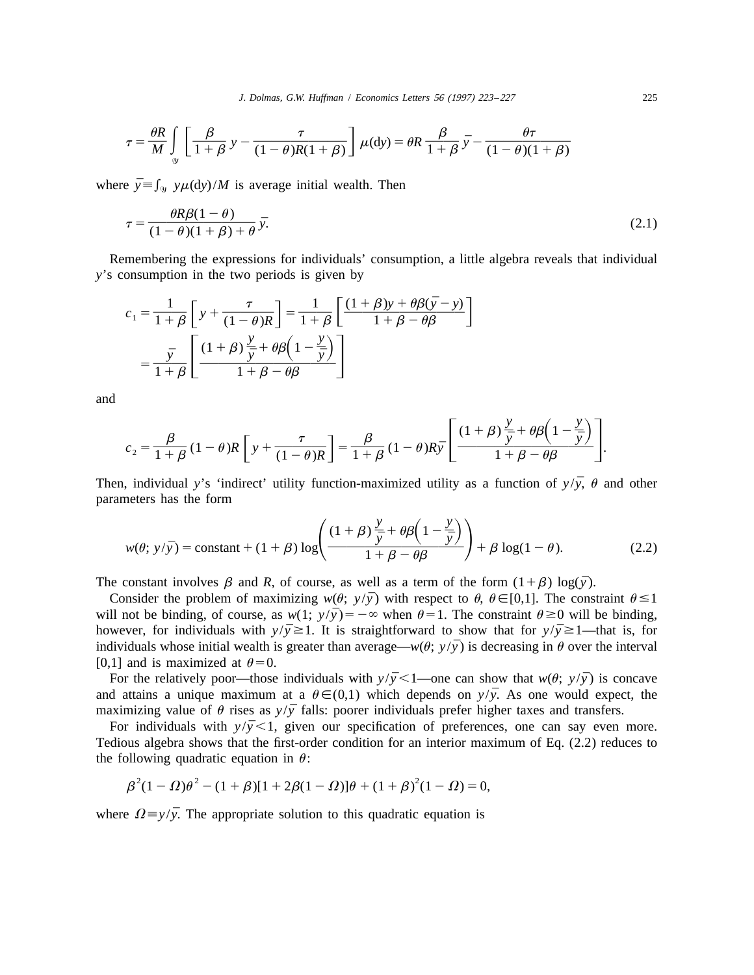$$
\tau = \frac{\theta R}{M} \int_{\mathcal{Y}} \left[ \frac{\beta}{1+\beta} y - \frac{\tau}{(1-\theta)R(1+\beta)} \right] \mu(\mathrm{d}y) = \theta R \frac{\beta}{1+\beta} \bar{y} - \frac{\theta \tau}{(1-\theta)(1+\beta)}
$$

where  $\bar{y} \equiv \int_{\mathcal{Y}} y \mu(dy)/M$  is average initial wealth. Then

$$
\tau = \frac{\theta R \beta (1 - \theta)}{(1 - \theta)(1 + \beta) + \theta} \bar{y}.\tag{2.1}
$$

Remembering the expressions for individuals' consumption, a little algebra reveals that individual *y*'s consumption in the two periods is given by

$$
c_1 = \frac{1}{1+\beta} \left[ y + \frac{\tau}{(1-\theta)R} \right] = \frac{1}{1+\beta} \left[ \frac{(1+\beta)y + \theta\beta(\bar{y}-y)}{1+\beta-\theta\beta} \right]
$$

$$
= \frac{\bar{y}}{1+\beta} \left[ \frac{(1+\beta)\frac{y}{\bar{y}} + \theta\beta\left(1-\frac{y}{\bar{y}}\right)}{1+\beta-\theta\beta} \right]
$$

and

$$
c_2 = \frac{\beta}{1+\beta} (1-\theta) R \left[ y + \frac{\tau}{(1-\theta)R} \right] = \frac{\beta}{1+\beta} (1-\theta) R \bar{y} \left[ \frac{(1+\beta)\frac{y}{\bar{y}} + \theta \beta \left(1-\frac{y}{\bar{y}}\right)}{1+\beta-\theta \beta} \right].
$$

Then, individual *y*'s 'indirect' utility function-maximized utility as a function of  $y/\bar{y}$ ,  $\theta$  and other parameters has the form

$$
w(\theta; y/\bar{y}) = \text{constant} + (1+\beta) \log \left( \frac{(1+\beta)\frac{y}{\bar{y}} + \theta \beta \left(1 - \frac{y}{\bar{y}}\right)}{1+\beta - \theta \beta} \right) + \beta \log(1-\theta). \tag{2.2}
$$

The constant involves  $\beta$  and *R*, of course, as well as a term of the form  $(1+\beta) \log(\bar{y})$ .

Consider the problem of maximizing  $w(\theta; y/\bar{y})$  with respect to  $\theta$ ,  $\theta \in [0,1]$ . The constraint  $\theta \leq 1$ will not be binding, of course, as  $w(1; y/\bar{y}) = -\infty$  when  $\theta = 1$ . The constraint  $\theta \ge 0$  will be binding, however, for individuals with  $y/\bar{y} \ge 1$ . It is straightforward to show that for  $y/\bar{y} \ge 1$ —that is, for individuals whose initial wealth is greater than average— $w(\theta; y/\bar{y})$  is decreasing in  $\theta$  over the interval [0,1] and is maximized at  $\theta = 0$ .

For the relatively poor—those individuals with  $y/\bar{y} < 1$ —one can show that  $w(\theta; y/\bar{y})$  is concave and attains a unique maximum at a  $\theta \in (0,1)$  which depends on  $y/\bar{y}$ . As one would expect, the maximizing value of  $\theta$  rises as  $y/\bar{y}$  falls: poorer individuals prefer higher taxes and transfers.

For individuals with  $y/\bar{y} < 1$ , given our specification of preferences, one can say even more. Tedious algebra shows that the first-order condition for an interior maximum of Eq. (2.2) reduces to the following quadratic equation in  $\theta$ :

$$
\beta^{2}(1 - \Omega)\theta^{2} - (1 + \beta)[1 + 2\beta(1 - \Omega)]\theta + (1 + \beta)^{2}(1 - \Omega) = 0,
$$

where  $\Omega = y/\bar{y}$ . The appropriate solution to this quadratic equation is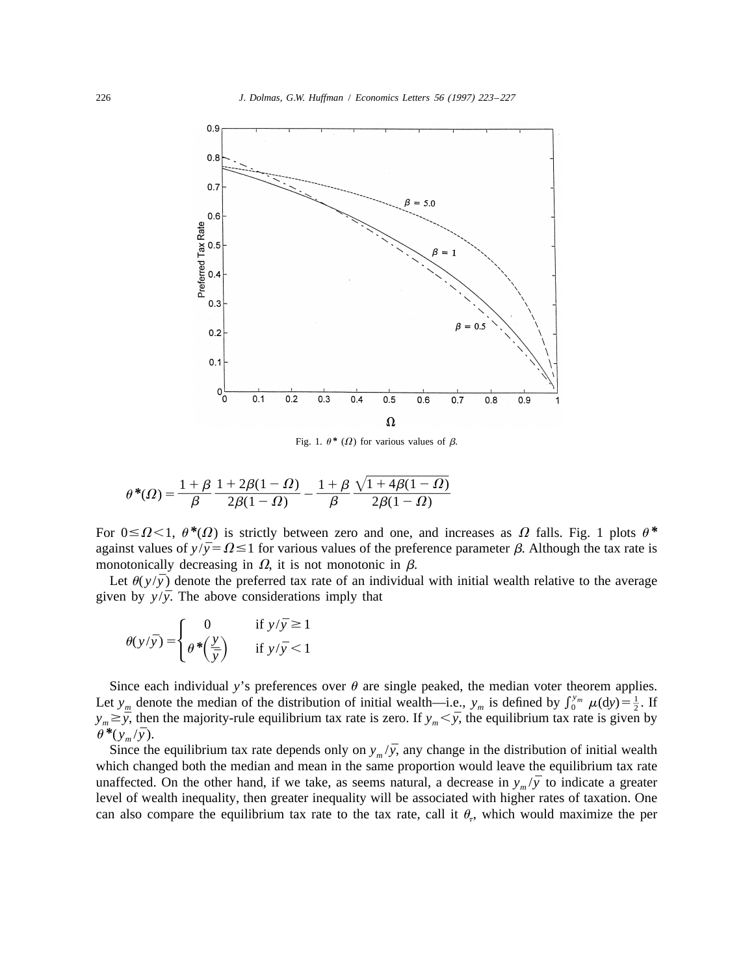

Fig. 1.  $\theta^*$  ( $\Omega$ ) for various values of  $\beta$ .

$$
\theta^*(\Omega) = \frac{1+\beta}{\beta} \frac{1+2\beta(1-\Omega)}{2\beta(1-\Omega)} - \frac{1+\beta}{\beta} \frac{\sqrt{1+4\beta(1-\Omega)}}{2\beta(1-\Omega)}
$$

For  $0 \le \Omega \le 1$ ,  $\theta^*(\Omega)$  is strictly between zero and one, and increases as  $\Omega$  falls. Fig. 1 plots  $\theta^*$ against values of  $y/\bar{y} = \Omega \le 1$  for various values of the preference parameter  $\beta$ . Although the tax rate is monotonically decreasing in  $\Omega$ , it is not monotonic in  $\beta$ .

Let  $\theta(y/\bar{y})$  denote the preferred tax rate of an individual with initial wealth relative to the average given by  $y/\bar{y}$ . The above considerations imply that

$$
\theta(y/\bar{y}) = \begin{cases} 0 & \text{if } y/\bar{y} \ge 1 \\ \theta^* \left(\frac{y}{\bar{y}}\right) & \text{if } y/\bar{y} < 1 \end{cases}
$$

Since each individual y's preferences over  $\theta$  are single peaked, the median voter theorem applies.<br>Let  $y_m$  denote the median of the distribution of initial wealth—i.e.,  $y_m$  is defined by  $\int_0^{y_m} \mu(dy) = \frac{1}{2}$ . If  $y_m \geq \bar{y}$ , then the majority-rule equilibrium tax rate is zero. If  $y_m < \bar{y}$ , the equilibrium tax rate is given by  $\theta^*(y_m/\bar{y}).$ 

Since the equilibrium tax rate depends only on  $y_m/\bar{y}$ , any change in the distribution of initial wealth which changed both the median and mean in the same proportion would leave the equilibrium tax rate unaffected. On the other hand, if we take, as seems natural, a decrease in  $y_m/\bar{y}$  to indicate a greater level of wealth inequality, then greater inequality will be associated with higher rates of taxation. One can also compare the equilibrium tax rate to the tax rate, call it  $\theta_{\tau}$ , which would maximize the per